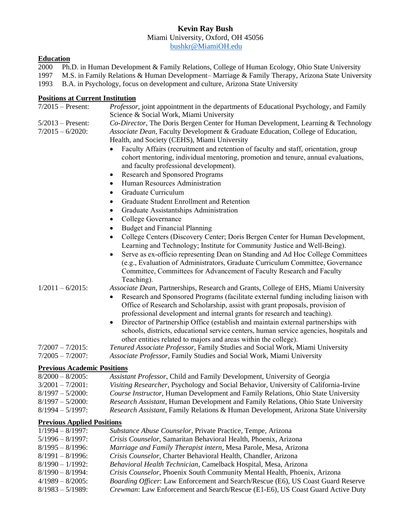# **Kevin Ray Bush**

Miami University, Oxford, OH 45056

[bushkr@MiamiOH.edu](mailto:bushkr@MiamiOH.edu)

# **Education**

2000 Ph.D. in Human Development & Family Relations, College of Human Ecology, Ohio State University 1997 M.S. in Family Relations & Human Development– Marriage & Family Therapy, Arizona State University 1993 B.A. in Psychology, focus on development and culture, Arizona State University

# **Positions at Current Institution**

| $7/2015$ – Present:                        | Professor, joint appointment in the departments of Educational Psychology, and Family                                                                                                                                                                       |
|--------------------------------------------|-------------------------------------------------------------------------------------------------------------------------------------------------------------------------------------------------------------------------------------------------------------|
|                                            | Science & Social Work, Miami University                                                                                                                                                                                                                     |
| $5/2013$ – Present:<br>$7/2015 - 6/2020$ : | Co-Director, The Doris Bergen Center for Human Development, Learning & Technology<br>Associate Dean, Faculty Development & Graduate Education, College of Education,<br>Health, and Society (CEHS), Miami University                                        |
|                                            | Faculty Affairs (recruitment and retention of faculty and staff, orientation, group<br>cohort mentoring, individual mentoring, promotion and tenure, annual evaluations,<br>and faculty professional development).                                          |
|                                            | Research and Sponsored Programs<br>$\bullet$                                                                                                                                                                                                                |
|                                            | Human Resources Administration<br>٠                                                                                                                                                                                                                         |
|                                            | Graduate Curriculum<br>$\bullet$                                                                                                                                                                                                                            |
|                                            | Graduate Student Enrollment and Retention<br>$\bullet$                                                                                                                                                                                                      |
|                                            | Graduate Assistantships Administration<br>$\bullet$                                                                                                                                                                                                         |
|                                            | College Governance<br>$\bullet$                                                                                                                                                                                                                             |
|                                            | <b>Budget and Financial Planning</b><br>$\bullet$                                                                                                                                                                                                           |
|                                            | College Centers (Discovery Center; Doris Bergen Center for Human Development,<br>$\bullet$<br>Learning and Technology; Institute for Community Justice and Well-Being).                                                                                     |
|                                            | Serve as ex-officio representing Dean on Standing and Ad Hoc College Committees<br>٠                                                                                                                                                                        |
|                                            | (e.g., Evaluation of Administrators, Graduate Curriculum Committee, Governance<br>Committee, Committees for Advancement of Faculty Research and Faculty<br>Teaching).                                                                                       |
| $1/2011 - 6/2015$ :                        | Associate Dean, Partnerships, Research and Grants, College of EHS, Miami University                                                                                                                                                                         |
|                                            | Research and Sponsored Programs (facilitate external funding including liaison with<br>Office of Research and Scholarship, assist with grant proposals, provision of                                                                                        |
|                                            | professional development and internal grants for research and teaching).                                                                                                                                                                                    |
|                                            | Director of Partnership Office (establish and maintain external partnerships with<br>$\bullet$<br>schools, districts, educational service centers, human service agencies, hospitals and<br>other entities related to majors and areas within the college). |
| $7/2007 - 7/2015$ :                        | Tenured Associate Professor, Family Studies and Social Work, Miami University                                                                                                                                                                               |
| $7/2005 - 7/2007$ :                        | Associate Professor, Family Studies and Social Work, Miami University                                                                                                                                                                                       |
| <b>Previous Academic Positions</b>         |                                                                                                                                                                                                                                                             |
| $8/2000 - 8/2005$ :                        | Assistant Professor, Child and Family Development, University of Georgia                                                                                                                                                                                    |
| $3/2001 - 7/2001$ :                        | Visiting Researcher, Psychology and Social Behavior, University of California-Irvine                                                                                                                                                                        |
| $8/1997 - 5/2000$ :                        | Course Instructor, Human Development and Family Relations, Ohio State University                                                                                                                                                                            |
| $8/1997 - 5/2000$ :                        | Research Assistant, Human Development and Family Relations, Ohio State University                                                                                                                                                                           |
| $8/1994 - 5/1997$ :                        | Research Assistant, Family Relations & Human Development, Arizona State University                                                                                                                                                                          |
| <b>Previous Applied Positions</b>          |                                                                                                                                                                                                                                                             |
| $1/1994 - 8/1997$ :                        | Substance Abuse Counselor, Private Practice, Tempe, Arizona                                                                                                                                                                                                 |
| $5/1996 - 8/1997$ :                        | Crisis Counselor, Samaritan Behavioral Health, Phoenix, Arizona                                                                                                                                                                                             |
| $8/1995 - 8/1996$ :                        | Marriage and Family Therapist intern, Mesa Parole, Mesa, Arizona                                                                                                                                                                                            |

- 8/1991 8/1996: *Crisis Counselor*, Charter Behavioral Health, Chandler, Arizona
- 8/1990 1/1992: *Behavioral Health Technician*, Camelback Hospital, Mesa, Arizona
- 8/1990 8/1994: *Crisis Counselor*, Phoenix South Community Mental Health, Phoenix, Arizona
- 4/1989 8/2005: *Boarding Officer*: Law Enforcement and Search/Rescue (E6), US Coast Guard Reserve
- 8/1983 5/1989: *Crewman*: Law Enforcement and Search/Rescue (E1-E6), US Coast Guard Active Duty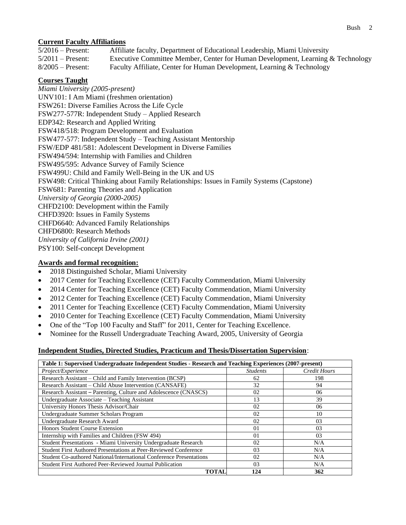# **Current Faculty Affiliations**

| $5/2016$ – Present: | Affiliate faculty, Department of Educational Leadership, Miami University       |
|---------------------|---------------------------------------------------------------------------------|
| $5/2011$ – Present: | Executive Committee Member, Center for Human Development, Learning & Technology |
| $8/2005$ – Present: | Faculty Affiliate, Center for Human Development, Learning & Technology          |

# **Courses Taught**

*Miami University (2005-present)* UNV101: I Am Miami (freshmen orientation) FSW261: Diverse Families Across the Life Cycle FSW277-577R: Independent Study – Applied Research EDP342: Research and Applied Writing FSW418/518: Program Development and Evaluation FSW477-577: Independent Study – Teaching Assistant Mentorship FSW/EDP 481/581: Adolescent Development in Diverse Families FSW494/594: Internship with Families and Children FSW495/595: Advance Survey of Family Science FSW499U: Child and Family Well-Being in the UK and US FSW498: Critical Thinking about Family Relationships: Issues in Family Systems (Capstone) FSW681: Parenting Theories and Application *University of Georgia (2000-2005)* CHFD2100: Development within the Family CHFD3920: Issues in Family Systems CHFD6640: Advanced Family Relationships CHFD6800: Research Methods *University of California Irvine (2001)* PSY100: Self-concept Development

# **Awards and formal recognition:**

- 2018 Distinguished Scholar, Miami University
- 2017 Center for Teaching Excellence (CET) Faculty Commendation, Miami University
- 2014 Center for Teaching Excellence (CET) Faculty Commendation, Miami University
- 2012 Center for Teaching Excellence (CET) Faculty Commendation, Miami University
- 2011 Center for Teaching Excellence (CET) Faculty Commendation, Miami University
- 2010 Center for Teaching Excellence (CET) Faculty Commendation, Miami University
- One of the "Top 100 Faculty and Staff" for 2011, Center for Teaching Excellence.
- Nominee for the Russell Undergraduate Teaching Award, 2005, University of Georgia

### **Independent Studies, Directed Studies, Practicum and Thesis/Dissertation Supervision**:

| Table 1: Supervised Undergraduate Independent Studies - Research and Teaching Experiences (2007-present) |                 |                     |
|----------------------------------------------------------------------------------------------------------|-----------------|---------------------|
| Project/Experience                                                                                       | <b>Students</b> | <b>Credit Hours</b> |
| Research Assistant – Child and Family Intervention (BCSP)                                                | 62              | 198                 |
| Research Assistant – Child Abuse Intervention (CANSAFE)                                                  | 32              | 94                  |
| Research Assistant – Parenting, Culture and Adolescence (CNASCS)                                         | 02              | 06                  |
| Undergraduate Associate - Teaching Assistant                                                             | 13              | 39                  |
| University Honors Thesis Advisor/Chair                                                                   | 02              | 06                  |
| Undergraduate Summer Scholars Program                                                                    | 02              | 10                  |
| Undergraduate Research Award                                                                             | 02              | 03                  |
| Honors Student Course Extension                                                                          | 0 <sub>1</sub>  | 0 <sub>3</sub>      |
| Internship with Families and Children (FSW 494)                                                          | 0 <sub>1</sub>  | 03                  |
| Student Presentations - Miami University Undergraduate Research                                          | 02              | N/A                 |
| Student First Authored Presentations at Peer-Reviewed Conference                                         | 03              | N/A                 |
| Student Co-authored National/International Conference Presentations                                      | 02              | N/A                 |
| <b>Student First Authored Peer-Reviewed Journal Publication</b>                                          | 03              | N/A                 |
| TOTAL                                                                                                    | 124             | 362                 |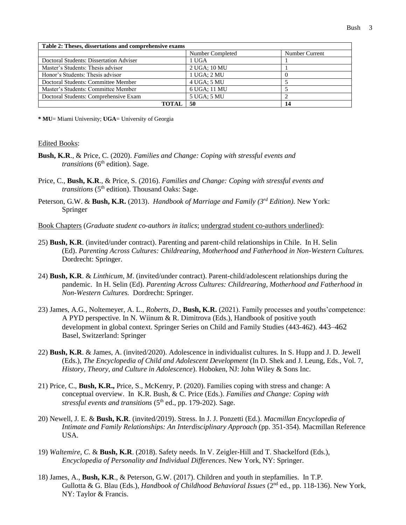| Table 2: Theses, dissertations and comprehensive exams |                  |                |
|--------------------------------------------------------|------------------|----------------|
|                                                        | Number Completed | Number Current |
| Doctoral Students: Dissertation Adviser                | 1 UGA            |                |
| Master's Students: Thesis advisor                      | 2 UGA: 10 MU     |                |
| Honor's Students: Thesis advisor                       | 1 UGA: 2 MU      |                |
| Doctoral Students: Committee Member                    | 4 UGA: 5 MU      |                |
| Master's Students: Committee Member                    | 6 UGA: 11 MU     |                |
| Doctoral Students: Comprehensive Exam                  | 5 UGA: 5 MU      |                |
| ТОТАІ                                                  | 50               | 14             |

**\* MU**= Miami University; **UGA**= University of Georgia

#### Edited Books:

- **Bush, K.R**., & Price, C. (2020). *Families and Change: Coping with stressful events and transitions* (6<sup>th</sup> edition). Sage.
- Price, C., **Bush, K.R**., & Price, S. (2016). *Families and Change: Coping with stressful events and transitions* (5<sup>th</sup> edition). Thousand Oaks: Sage.
- Peterson, G.W. & Bush, K.R. (2013). *Handbook of Marriage and Family (3<sup>rd</sup> Edition)*. New York: Springer
- Book Chapters (*Graduate student co-authors in italics*; undergrad student co-authors underlined):
- 25) **Bush, K.R**. (invited/under contract). Parenting and parent-child relationships in Chile. In H. Selin (Ed). *Parenting Across Cultures: Childrearing, Motherhood and Fatherhood in Non-Western Cultures.* Dordrecht: Springer.
- 24) **Bush, K.R**. & *Linthicum, M*. (invited/under contract). Parent-child/adolescent relationships during the pandemic. In H. Selin (Ed). *Parenting Across Cultures: Childrearing, Motherhood and Fatherhood in Non-Western Cultures.* Dordrecht: Springer.
- 23) James, A.G., Noltemeyer, A. L., *Roberts, D*., **Bush, K.R.** (2021). Family processes and youths'competence: A PYD perspective. In N. Wiinum & R. Dimitrova (Eds.), Handbook of positive youth development in global context. Springer Series on Child and Family Studies (443-462). 443–462 Basel, Switzerland: Springer
- 22) **Bush, K.R**. & James, A. (invited/2020). Adolescence in individualist cultures. In S. Hupp and J. D. Jewell (Eds.), *The Encyclopedia of Child and Adolescent Development* (In D. Shek and J. Leung, Eds., Vol. 7, *History, Theory, and Culture in Adolescence*). Hoboken, NJ: John Wiley & Sons Inc.
- 21) Price, C., **Bush, K.R.,** Price, S., McKenry, P. (2020). Families coping with stress and change: A conceptual overview. In K.R. Bush, & C. Price (Eds.). *Families and Change: Coping with stressful events and transitions* (5<sup>th</sup> ed., pp. 179-202). Sage.
- 20) Newell, J. E. & **Bush, K.R**. (invited/2019). Stress. In J. J. Ponzetti (Ed.). *Macmillan Encyclopedia of Intimate and Family Relationships: An Interdisciplinary Approach* (pp. 351-354). Macmillan Reference USA.
- 19) *Waltemire, C*. & **Bush, K.R**. (2018). Safety needs. In V. Zeigler-Hill and T. Shackelford (Eds.), *Encyclopedia of Personality and Individual Differences*. New York, NY: Springer.
- 18) James, A., **Bush, K.R**., & Peterson, G.W. (2017). Children and youth in stepfamilies. In T.P. Gullotta & G. Blau (Eds.), *Handbook of Childhood Behavioral Issues* (2<sup>nd</sup> ed., pp. 118-136). New York, NY: Taylor & Francis.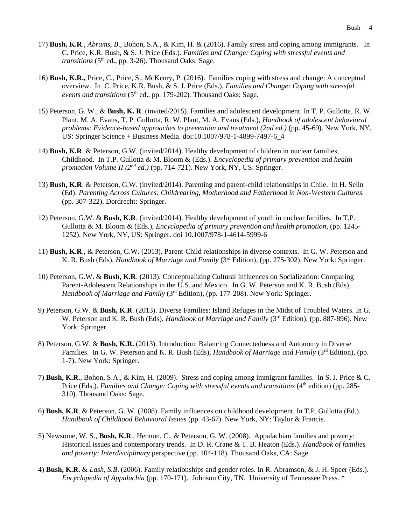- 17) **Bush, K.R**., *Abrams, B*., Bohon, S.A., & Kim, H. & (2016). Family stress and coping among immigrants. In C. Price, K.R. Bush, & S. J. Price (Eds.). *Families and Change: Coping with stressful events and transitions* (5<sup>th</sup> ed., pp. 3-26). Thousand Oaks: Sage.
- 16) **Bush, K.R.,** Price, C., Price, S., McKenry, P. (2016). Families coping with stress and change: A conceptual overview. In C. Price, K.R. Bush, & S. J. Price (Eds.). *Families and Change: Coping with stressful events and transitions* (5th ed., pp. 179-202)*.* Thousand Oaks: Sage.
- 15) Peterson, G. W., & **Bush, K. R**. (invited/2015). Families and adolescent development. In T. P. Gullotta, R. W. Plant, M. A. Evans, T. P. Gullotta, R. W. Plant, M. A. Evans (Eds.), *Handbook of adolescent behavioral problems: Evidence-based approaches to prevention and treatment (2nd ed.)* (pp. 45-69). New York, NY, US: Springer Science + Business Media. doi:10.1007/978-1-4899-7497-6\_4
- 14) **Bush, K.R**. & Peterson, G.W. (invited/2014). Healthy development of children in nuclear families, Childhood. In T.P. Gullotta & M. Bloom & (Eds.). *Encyclopedia of primary prevention and health promotion Volume II (2nd ed.)* (pp. 714-721). New York, NY, US: Springer.
- 13) **Bush, K.R**. & Peterson, G.W. (invited/2014). Parenting and parent-child relationships in Chile. In H. Selin (Ed). *Parenting Across Cultures: Childrearing, Motherhood and Fatherhood in Non-Western Cultures.* (pp. 307-322). Dordrecht: Springer.
- 12) Peterson, G.W. & **Bush, K.R**. (invited/2014). Healthy development of youth in nuclear families. In T.P. Gullotta & M. Bloom & (Eds.), *Encyclopedia of primary prevention and health promotion*, (pp. 1245- 1252). New York, NY, US: Springer. doi 10.1007/978-1-4614-5999-6
- 11) **Bush, K.R**., & Peterson, G.W. (2013). Parent-Child relationships in diverse contexts. In G. W. Peterson and K. R. Bush (Eds), *Handbook of Marriage and Family* (3rd Edition), (pp. 275-302). New York: Springer.
- 10) Peterson, G.W. & **Bush, K.R**. (2013). Conceptualizing Cultural Influences on Socialization: Comparing Parent-Adolescent Relationships in the U.S. and Mexico. In G. W. Peterson and K. R. Bush (Eds), *Handbook of Marriage and Family* (3<sup>rd</sup> Edition), (pp. 177-208). New York: Springer.
- 9) Peterson, G.W. & **Bush, K.R**. (2013). Diverse Families: Island Refuges in the Midst of Troubled Waters. In G. W. Peterson and K. R. Bush (Eds), *Handbook of Marriage and Family* (3<sup>rd</sup> Edition), (pp. 887-896). New York: Springer.
- 8) Peterson, G.W. & **Bush, K.R.** (2013). Introduction: Balancing Connectedness and Autonomy in Diverse Families. In G. W. Peterson and K. R. Bush (Eds), *Handbook of Marriage and Family* (3<sup>rd</sup> Edition), (pp. 1-7). New York: Springer.
- 7) **Bush, K.R**., Bohon, S.A., & Kim, H. (2009). Stress and coping among immigrant families. In S. J. Price & C. Price (Eds.). *Families and Change: Coping with stressful events and transitions* (4<sup>th</sup> edition) (pp. 285-310)*.* Thousand Oaks: Sage.
- 6) **Bush, K.R**. & Peterson, G. W. (2008). Family influences on childhood development. In T.P. Gullotta (Ed.). *Handbook of Childhood Behavioral Issues* (pp. 43-67). New York, NY: Taylor & Francis.
- 5) Newsome, W. S., **Bush, K.R**., Hennon, C., & Peterson, G. W. (2008). Appalachian families and poverty: Historical issues and contemporary trends. In D. R. Crane & T. B. Heaton (Eds.). *Handbook of families and poverty: Interdisciplinary* perspective (pp. 104-118)*.* Thousand Oaks, CA: Sage.
- 4) **Bush, K.R**. & *Lash, S.B*. (2006). Family relationships and gender roles. In R. Abramson, & J. H. Speer (Eds.). *Encyclopedia of Appalachia* (pp. 170-171). Johnson City, TN. University of Tennessee Press. \*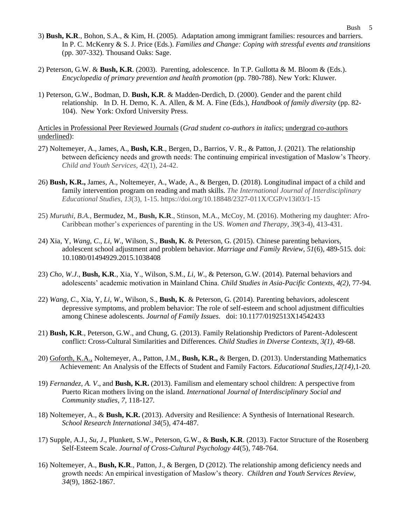- 3) **Bush, K.R**., Bohon, S.A., & Kim, H. (2005). Adaptation among immigrant families: resources and barriers. In P. C. McKenry & S. J. Price (Eds.). *Families and Change: Coping with stressful events and transitions*  (pp. 307-332)*.* Thousand Oaks: Sage.
- 2) Peterson, G.W. & **Bush, K.R**. (2003). Parenting, adolescence. In T.P. Gullotta & M. Bloom & (Eds.). *Encyclopedia of primary prevention and health promotion* (pp. 780-788). New York: Kluwer.
- 1) Peterson, G.W., Bodman, D. **Bush, K.R**. & Madden-Derdich, D. (2000). Gender and the parent child relationship.In D. H. Demo, K. A. Allen, & M. A. Fine (Eds.), *Handbook of family diversity* (pp. 82- 104). New York: Oxford University Press.

Articles in Professional Peer Reviewed Journals (*Grad student co-authors in italics*; undergrad co-authors underlined):

- 27) Noltemeyer, A., James, A., **Bush, K.R**., Bergen, D., Barrios, V. R., & Patton, J. (2021). The relationship between deficiency needs and growth needs: The continuing empirical investigation of Maslow's Theory. *Child and Youth Services*, *42*(1), 24-42.
- 26) **Bush, K.R.,** James, A., Noltemeyer, A., Wade, A., & Bergen, D. (2018). Longitudinal impact of a child and family intervention program on reading and math skills. *The International Journal of Interdisciplinary Educational Studies, 13*(3), 1-15. https://doi.org/10.18848/2327-011X/CGP/v13i03/1-15
- 25) *Muruthi, B.A.,* Bermudez, M., **Bush, K.R**., Stinson, M.A., McCoy, M. (2016). Mothering my daughter: Afro-Caribbean mother's experiences of parenting in the US. *Women and Therapy*, *39*(3-4), 413-431.
- 24) Xia, Y, *Wang, C*., *Li, W*., Wilson, S., **Bush, K**. & Peterson, G. (2015). Chinese parenting behaviors, adolescent school adjustment and problem behavior. *Marriage and Family Review, 51*(6)*,* 489-515*.* doi: 10.1080/01494929.2015.1038408
- 23) *Cho, W.J*., **Bush, K.R**., Xia, Y., Wilson, S.M., *Li, W*., & Peterson, G.W. (2014). Paternal behaviors and adolescents' academic motivation in Mainland China. *Child Studies in Asia-Pacific Contexts, 4(2),* 77-94*.*
- 22) *Wang, C*., Xia, Y, *Li, W*., Wilson, S., **Bush, K**. & Peterson, G. (2014). Parenting behaviors, adolescent depressive symptoms, and problem behavior: The role of self-esteem and school adjustment difficulties among Chinese adolescents. *Journal of Family Issues.* doi: 10.1177/0192513X14542433
- 21) **Bush, K.R**., Peterson, G.W., and Chung, G. (2013). Family Relationship Predictors of Parent-Adolescent conflict: Cross-Cultural Similarities and Differences. *Child Studies in Diverse Contexts, 3(1),* 49-68.
- 20) Goforth, K.A., Noltemeyer, A., Patton, J.M., **Bush, K.R.,** & Bergen, D. (2013). Understanding Mathematics Achievement: An Analysis of the Effects of Student and Family Factors. *Educational Studies,12(14),*1-20*.*
- 19) *Fernandez, A. V*., and **Bush, K.R.** (2013). Familism and elementary school children: A perspective from Puerto Rican mothers living on the island. *International Journal of Interdisciplinary Social and Community studies, 7*, 118-127*.*
- 18) Noltemeyer, A., & **Bush, K.R.** (2013). Adversity and Resilience: A Synthesis of International Research. *School Research International 34*(5), 474-487.
- 17) Supple, A.J., *Su, J*., Plunkett, S.W., Peterson, G.W., & **Bush, K.R**. (2013). Factor Structure of the Rosenberg Self-Esteem Scale. *Journal of Cross-Cultural Psychology 44*(5)*,* 748-764.
- 16) Noltemeyer, A., **Bush, K.R**., Patton, J., & Bergen, D (2012). The relationship among deficiency needs and growth needs: An empirical investigation of Maslow's theory. *Children and Youth Services Review, 34*(9), 1862-1867.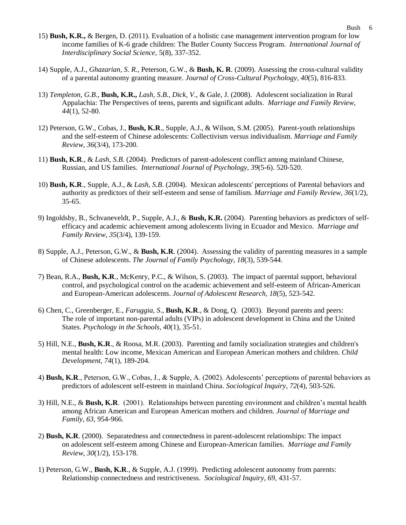- 15) **Bush, K.R.,** & Bergen, D. (2011). Evaluation of a holistic case management intervention program for low income families of K-6 grade children: The Butler County Success Program. *International Journal of Interdisciplinary Social Science,* 5(8), 337-352.
- 14) Supple, A.J., *Ghazarian, S. R.*, Peterson, G.W., & **Bush, K. R**. (2009). Assessing the cross-cultural validity of a parental autonomy granting measure. *Journal of Cross-Cultural Psychology, 40*(5), 816-833.
- 13) *Templeton, G.B*., **Bush, K.R.,** *Lash, S.B., Dick, V*., & Gale, J. (2008). Adolescent socialization in Rural Appalachia: The Perspectives of teens, parents and significant adults. *Marriage and Family Review, 44*(1), 52-80.
- 12) Peterson, G.W., Cobas, J., **Bush, K.R**., Supple, A.J., & Wilson, S.M. (2005). Parent-youth relationships and the self-esteem of Chinese adolescents: Collectivism versus individualism. *Marriage and Family Review, 36*(3/4), 173-200.
- 11) **Bush, K.R**., & *Lash, S.B*. (2004). Predictors of parent-adolescent conflict among mainland Chinese, Russian, and US families. *International Journal of Psychology, 39*(5-6). 520-520.
- 10) **Bush, K.R**., Supple, A.J., & *Lash, S.B*. (2004). Mexican adolescents' perceptions of Parental behaviors and authority as predictors of their self-esteem and sense of familism. *Marriage and Family Review, 36*(1/2), 35-65.
- 9) Ingoldsby, B., Schvaneveldt, P., Supple, A.J., & **Bush, K.R.** (2004). Parenting behaviors as predictors of selfefficacy and academic achievement among adolescents living in Ecuador and Mexico. *Marriage and Family Review, 35*(3/4), 139-159.
- 8) Supple, A.J., Peterson, G.W., & **Bush, K.R**. (2004). Assessing the validity of parenting measures in a sample of Chinese adolescents. *The Journal of Family Psychology, 18*(3), 539-544.
- 7) Bean, R.A., **Bush, K.R**., McKenry, P.C., & Wilson, S. (2003). The impact of parental support, behavioral control, and psychological control on the academic achievement and self-esteem of African-American and European-American adolescents. *Journal of Adolescent Research, 18*(5), 523-542.
- 6) Chen, C., Greenberger, E., *Faruggia, S*., **Bush, K.R**., & Dong, Q. (2003). Beyond parents and peers: The role of important non-parental adults (VIPs) in adolescent development in China and the United States. *Psychology in the Schools, 40*(1), 35-51.
- 5) Hill, N.E., **Bush, K.R**., & Roosa, M.R. (2003). Parenting and family socialization strategies and children's mental health: Low income, Mexican American and European American mothers and children. *Child Development, 74*(1), 189-204.
- 4) **Bush, K.R**., Peterson, G.W., Cobas, J., & Supple, A. (2002). Adolescents' perceptions of parental behaviors as predictors of adolescent self-esteem in mainland China. *Sociological Inquiry*, *72*(4), 503-526.
- 3) Hill, N.E., & **Bush, K.R**. (2001). Relationships between parenting environment and children's mental health among African American and European American mothers and children. *Journal of Marriage and Family, 63*, 954-966.
- 2) **Bush, K.R**. (2000). Separatedness and connectedness in parent-adolescent relationships: The impact on adolescent self-esteem among Chinese and European-American families. *Marriage and Family Review, 30*(1/2), 153-178.
- 1) Peterson, G.W., **Bush, K.R**., & Supple, A.J. (1999). Predicting adolescent autonomy from parents: Relationship connectedness and restrictiveness. *Sociological Inquiry, 69*, 431-57.

Bush 6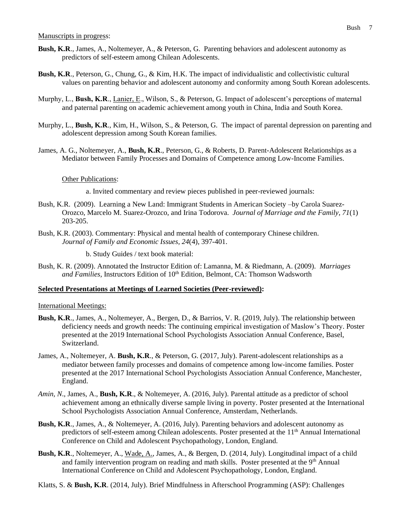- **Bush, K.R**., James, A., Noltemeyer, A., & Peterson, G. Parenting behaviors and adolescent autonomy as predictors of self-esteem among Chilean Adolescents.
- **Bush, K.R**., Peterson, G., Chung, G., & Kim, H.K. The impact of individualistic and collectivistic cultural values on parenting behavior and adolescent autonomy and conformity among South Korean adolescents.
- Murphy, L., **Bush, K.R**., Lanier, E., Wilson, S., & Peterson, G. Impact of adolescent's perceptions of maternal and paternal parenting on academic achievement among youth in China, India and South Korea.
- Murphy, L., **Bush, K.R**., Kim, H., Wilson, S., & Peterson, G. The impact of parental depression on parenting and adolescent depression among South Korean families.
- James, A. G., Noltemeyer, A., **Bush, K.R**., Peterson, G., & Roberts, D. Parent-Adolescent Relationships as a Mediator between Family Processes and Domains of Competence among Low-Income Families.

#### Other Publications:

- a. Invited commentary and review pieces published in peer-reviewed journals:
- Bush, K.R. (2009). Learning a New Land: Immigrant Students in American Society –by Carola Suarez-Orozco, Marcelo M. Suarez-Orozco, and Irina Todorova. *Journal of Marriage and the Family, 71*(1) 203-205.
- Bush, K.R. (2003). Commentary: Physical and mental health of contemporary Chinese children. *Journal of Family and Economic Issues, 24*(4), 397-401.

b. Study Guides / text book material:

Bush, K. R. (2009). Annotated the Instructor Edition of: Lamanna, M. & Riedmann, A. (2009). *Marriages*  and Families, Instructors Edition of 10<sup>th</sup> Edition, Belmont, CA: Thomson Wadsworth

### **Selected Presentations at Meetings of Learned Societies (Peer-reviewed):**

#### International Meetings:

- **Bush, K.R**., James, A., Noltemeyer, A., Bergen, D., & Barrios, V. R. (2019, July). The relationship between deficiency needs and growth needs: The continuing empirical investigation of Maslow's Theory. Poster presented at the 2019 International School Psychologists Association Annual Conference, Basel, Switzerland.
- James, A., Noltemeyer, A. **Bush, K.R**., & Peterson, G. (2017, July). Parent-adolescent relationships as a mediator between family processes and domains of competence among low-income families. Poster presented at the 2017 International School Psychologists Association Annual Conference, Manchester, England.
- *Amin, N*., James, A., **Bush, K.R**., & Noltemeyer, A. (2016, July). Parental attitude as a predictor of school achievement among an ethnically diverse sample living in poverty. Poster presented at the International School Psychologists Association Annual Conference, Amsterdam, Netherlands.
- **Bush, K.R**., James, A., & Noltemeyer, A. (2016, July). Parenting behaviors and adolescent autonomy as predictors of self-esteem among Chilean adolescents. Poster presented at the 11th Annual International Conference on Child and Adolescent Psychopathology, London, England.
- **Bush, K.R**., Noltemeyer, A., Wade, A., James, A., & Bergen, D. (2014, July). Longitudinal impact of a child and family intervention program on reading and math skills. Poster presented at the  $9<sup>th</sup>$  Annual International Conference on Child and Adolescent Psychopathology, London, England.
- Klatts, S. & **Bush, K.R**. (2014, July). Brief Mindfulness in Afterschool Programming (ASP): Challenges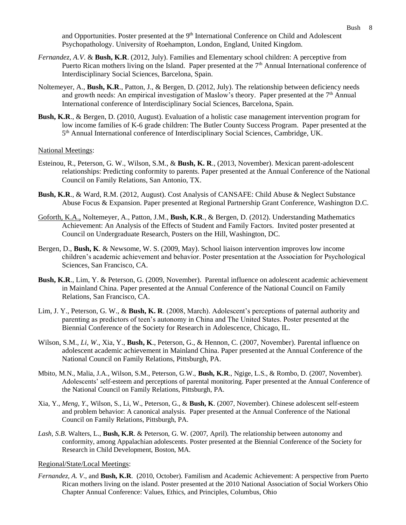and Opportunities. Poster presented at the 9<sup>th</sup> International Conference on Child and Adolescent Psychopathology. University of Roehampton, London, England, United Kingdom.

- *Fernandez, A.V*. & **Bush, K.R**. (2012, July). Families and Elementary school children: A perceptive from Puerto Rican mothers living on the Island. Paper presented at the 7<sup>th</sup> Annual International conference of Interdisciplinary Social Sciences, Barcelona, Spain.
- Noltemeyer, A., **Bush, K.R**., Patton, J., & Bergen, D. (2012, July). The relationship between deficiency needs and growth needs: An empirical investigation of Maslow's theory. Paper presented at the  $7<sup>th</sup>$  Annual International conference of Interdisciplinary Social Sciences, Barcelona, Spain.
- **Bush, K.R**., & Bergen, D. (2010, August). Evaluation of a holistic case management intervention program for low income families of K-6 grade children: The Butler County Success Program. Paper presented at the 5<sup>th</sup> Annual International conference of Interdisciplinary Social Sciences, Cambridge, UK.

#### National Meetings:

- Esteinou, R., Peterson, G. W., Wilson, S.M., & **Bush, K. R**., (2013, November). Mexican parent-adolescent relationships: Predicting conformity to parents. Paper presented at the Annual Conference of the National Council on Family Relations, San Antonio, TX.
- **Bush, K.R**., & Ward, R.M. (2012, August). Cost Analysis of CANSAFE: Child Abuse & Neglect Substance Abuse Focus & Expansion. Paper presented at Regional Partnership Grant Conference, Washington D.C.
- Goforth, K.A., Noltemeyer, A., Patton, J.M., **Bush, K.R**., & Bergen, D. (2012). Understanding Mathematics Achievement: An Analysis of the Effects of Student and Family Factors. Invited poster presented at Council on Undergraduate Research, Posters on the Hill, Washington, DC.
- Bergen, D., **Bush, K**. & Newsome, W. S. (2009, May). School liaison intervention improves low income children's academic achievement and behavior. Poster presentation at the Association for Psychological Sciences, San Francisco, CA.
- **Bush, K.R**., Lim, Y. & Peterson, G. (2009, November). Parental influence on adolescent academic achievement in Mainland China. Paper presented at the Annual Conference of the National Council on Family Relations, San Francisco, CA.
- Lim, J. Y., Peterson, G. W., & **Bush, K. R**. (2008, March). Adolescent's perceptions of paternal authority and parenting as predictors of teen's autonomy in China and The United States. Poster presented at the Biennial Conference of the Society for Research in Adolescence, Chicago, IL.
- Wilson, S.M., *Li, W*., Xia, Y., **Bush, K**., Peterson, G., & Hennon, C. (2007, November). Parental influence on adolescent academic achievement in Mainland China. Paper presented at the Annual Conference of the National Council on Family Relations, Pittsburgh, PA.
- Mbito, M.N., Malia, J.A., Wilson, S.M., Peterson, G.W., **Bush, K.R**., Ngige, L.S., & Rombo, D. (2007, November). Adolescents' self-esteem and perceptions of parental monitoring. Paper presented at the Annual Conference of the National Council on Family Relations, Pittsburgh, PA.
- Xia, Y., *Meng, Y*., Wilson, S., Li, W., Peterson, G., & **Bush, K**. (2007, November). Chinese adolescent self-esteem and problem behavior: A canonical analysis. Paper presented at the Annual Conference of the National Council on Family Relations, Pittsburgh, PA.
- *Lash, S.B*. Walters, L., **Bush, K.R**. & Peterson, G. W. (2007, April). The relationship between autonomy and conformity, among Appalachian adolescents. Poster presented at the Biennial Conference of the Society for Research in Child Development, Boston, MA.

#### Regional/State/Local Meetings:

*Fernandez, A. V*., and **Bush, K.R**. (2010, October). Familism and Academic Achievement: A perspective from Puerto Rican mothers living on the island. Poster presented at the 2010 National Association of Social Workers Ohio Chapter Annual Conference: Values, Ethics, and Principles, Columbus, Ohio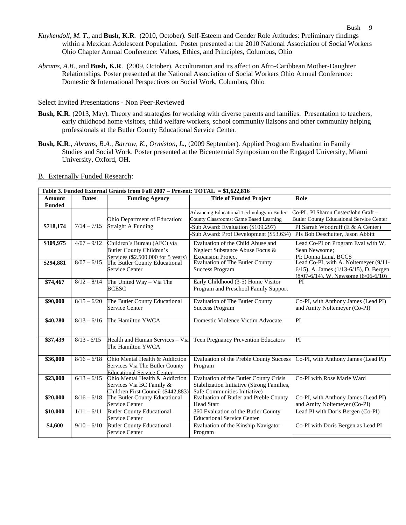- *Kuykendoll, M. T*., and **Bush, K.R**. (2010, October). Self-Esteem and Gender Role Attitudes: Preliminary findings within a Mexican Adolescent Population. Poster presented at the 2010 National Association of Social Workers Ohio Chapter Annual Conference: Values, Ethics, and Principles, Columbus, Ohio
- *Abrams, A.B*., and **Bush, K.R**. (2009, October). Acculturation and its affect on Afro-Caribbean Mother-Daughter Relationships. Poster presented at the National Association of Social Workers Ohio Annual Conference: Domestic & International Perspectives on Social Work, Columbus, Ohio

#### Select Invited Presentations - Non Peer-Reviewed

- **Bush, K.R**. (2013, May). Theory and strategies for working with diverse parents and families. Presentation to teachers, early childhood home visitors, child welfare workers, school community liaisons and other community helping professionals at the Butler County Educational Service Center.
- **Bush, K.R**., *Abrams, B.A., Barrow, K., Ormiston, L.,* (2009 September). Applied Program Evaluation in Family Studies and Social Work. Poster presented at the Bicentennial Symposium on the Engaged University, Miami University, Oxford, OH.

#### B. Externally Funded Research:

| Table 3. Funded External Grants from Fall 2007 – Present: TOTAL = \$1,622,816 |               |                                                                                                       |                                                                                                                                                                     |                                                                                                                                                                  |
|-------------------------------------------------------------------------------|---------------|-------------------------------------------------------------------------------------------------------|---------------------------------------------------------------------------------------------------------------------------------------------------------------------|------------------------------------------------------------------------------------------------------------------------------------------------------------------|
| Amount<br><b>Funded</b>                                                       | <b>Dates</b>  | <b>Funding Agency</b>                                                                                 | <b>Title of Funded Project</b>                                                                                                                                      | Role                                                                                                                                                             |
| \$718,174                                                                     | $7/14 - 7/15$ | Ohio Department of Education:<br><b>Straight A Funding</b>                                            | Advancing Educational Technology in Butler<br>County Classrooms: Game Based Learning<br>Sub Award: Evaluation (\$109,297)<br>Sub Award: Prof Development (\$53,634) | Co-PI, PI Sharon Custer/John Graft -<br><b>Butler County Educational Service Center</b><br>PI Sarrah Woodruff (E & A Center)<br>PIs Bob Deschutter, Jason Abbitt |
| \$309,975                                                                     | $4/07 - 9/12$ | Children's Bureau (AFC) via<br><b>Butler County Children's</b><br>Services (\$2,500,000 for 5 years)  | Evaluation of the Child Abuse and<br>Neglect Substance Abuse Focus &<br><b>Expansion Project</b>                                                                    | Lead Co-PI on Program Eval with W.<br>Sean Newsome:<br>PI: Donna Lang, BCCS                                                                                      |
| \$294,881                                                                     | $8/07 - 6/15$ | The Butler County Educational<br>Service Center                                                       | <b>Evaluation of The Butler County</b><br><b>Success Program</b>                                                                                                    | Lead Co-PI, with A. Noltemeyer (9/11-<br>$6/15$ , A. James $(1/13-6/15)$ , D. Bergen<br>$(8/07-6/14)$ , W. Newsome $(6/06-6/10)$                                 |
| \$74,467                                                                      | $8/12 - 8/14$ | The United Way - Via The<br><b>BCESC</b>                                                              | Early Childhood (3-5) Home Visitor<br>Program and Preschool Family Support                                                                                          | PI                                                                                                                                                               |
| \$90,000                                                                      | $8/15 - 6/20$ | The Butler County Educational<br><b>Service Center</b>                                                | <b>Evaluation of The Butler County</b><br><b>Success Program</b>                                                                                                    | Co-PI, with Anthony James (Lead PI)<br>and Amity Noltemeyer (Co-PI)                                                                                              |
| \$40,280                                                                      | $8/13 - 6/16$ | The Hamilton YWCA                                                                                     | Domestic Violence Victim Advocate                                                                                                                                   | PI                                                                                                                                                               |
| \$37,439                                                                      | $8/13 - 6/15$ | Health and Human Services - Via<br>The Hamilton YWCA                                                  | Teen Pregnancy Prevention Educators                                                                                                                                 | PI                                                                                                                                                               |
| \$36,000                                                                      | $8/16 - 6/18$ | Ohio Mental Health & Addiction<br>Services Via The Butler County<br><b>Educational Service Center</b> | <b>Evaluation of the Preble County Success</b><br>Program                                                                                                           | Co-PI, with Anthony James (Lead PI)                                                                                                                              |
| \$23,000                                                                      | $6/13 - 6/15$ | Ohio Mental Health & Addiction<br>Services Via BC Family &<br>Children First Council (\$442.883)      | Evaluation of the Butler County Crisis<br>Stabilization Initiative (Strong Families,<br>Safe Communities Initiative)                                                | Co-PI with Rose Marie Ward                                                                                                                                       |
| \$20,000                                                                      | $8/16 - 6/18$ | The Butler County Educational<br>Service Center                                                       | Evaluation of Butler and Preble County<br><b>Head Start</b>                                                                                                         | Co-PI, with Anthony James (Lead PI)<br>and Amity Noltemeyer (Co-PI)                                                                                              |
| \$10,000                                                                      | $1/11 - 6/11$ | <b>Butler County Educational</b><br><b>Service Center</b>                                             | 360 Evaluation of the Butler County<br><b>Educational Service Center</b>                                                                                            | Lead PI with Doris Bergen (Co-PI)                                                                                                                                |
| \$4,600                                                                       | $9/10 - 6/10$ | <b>Butler County Educational</b><br><b>Service Center</b>                                             | Evaluation of the Kinship Navigator<br>Program                                                                                                                      | Co-PI with Doris Bergen as Lead PI                                                                                                                               |
|                                                                               |               |                                                                                                       |                                                                                                                                                                     |                                                                                                                                                                  |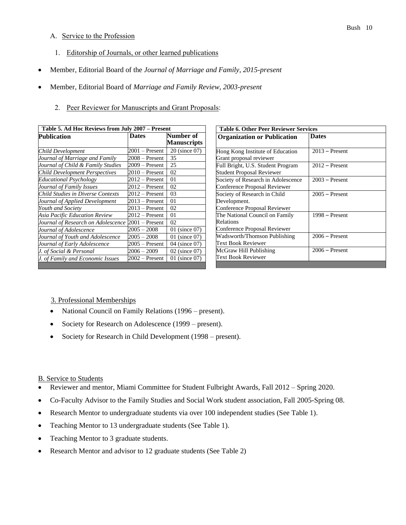### A. Service to the Profession

- 1. Editorship of Journals, or other learned publications
- Member, Editorial Board of the *Journal of Marriage and Family, 2015-present*
- Member, Editorial Board of *Marriage and Family Review, 2003-present*
	- 2. Peer Reviewer for Manuscripts and Grant Proposals:

| Table 5. Ad Hoc Reviews from July 2007 - Present |                  |                                 |
|--------------------------------------------------|------------------|---------------------------------|
| <b>Publication</b>                               | <b>Dates</b>     | Number of<br><b>Manuscripts</b> |
| <b>Child Development</b>                         | 2001 – Present   | 20 (since 07)                   |
| Journal of Marriage and Family                   | 2008 – Present   | 35                              |
| Journal of Child & Family Studies                | $2009 -$ Present | 25                              |
| <b>Child Development Perspectives</b>            | $2010 -$ Present | 02                              |
| <b>Educational Psychology</b>                    | 2012 – Present   | 01                              |
| Journal of Family Issues                         | $2012 -$ Present | 02                              |
| <b>Child Studies in Diverse Contexts</b>         | 2012 – Present   | 03                              |
| Journal of Applied Development                   | $2013 -$ Present | 01                              |
| Youth and Society                                | $2013 -$ Present | 02                              |
| Asia Pacific Education Review                    | 2012 – Present   | 01                              |
| Journal of Research on Adolescence               | $2001 -$ Present | 02                              |
| Journal of Adolescence                           | 2005 – 2008      | 01 (since 07)                   |
| Journal of Youth and Adolescence                 | $2005 - 2008$    | 01 (since 07)                   |
| Journal of Early Adolescence                     | $2005 -$ Present | 04 (since 07)                   |
| J. of Social & Personal                          | 2006 – 2009      | 02 (since 07)                   |
| J. of Family and Economic Issues                 | $2002 -$ Present | 01 (since 07)                   |

| <b>Table 6. Other Peer Reviewer Services</b> |  |  |  |
|----------------------------------------------|--|--|--|
| <b>Dates</b>                                 |  |  |  |
|                                              |  |  |  |
| $2013$ – Present                             |  |  |  |
|                                              |  |  |  |
| $2012$ – Present                             |  |  |  |
|                                              |  |  |  |
| $2003 -$ Present                             |  |  |  |
|                                              |  |  |  |
| $2005 -$ Present                             |  |  |  |
|                                              |  |  |  |
|                                              |  |  |  |
| $1998 -$ Present                             |  |  |  |
|                                              |  |  |  |
|                                              |  |  |  |
| $2006 -$ Present                             |  |  |  |
|                                              |  |  |  |
| $2006 -$ Present                             |  |  |  |
|                                              |  |  |  |
|                                              |  |  |  |

- 3. Professional Memberships
- National Council on Family Relations (1996 present).
- Society for Research on Adolescence (1999 present).
- Society for Research in Child Development (1998 present).

### B. Service to Students

- Reviewer and mentor, Miami Committee for Student Fulbright Awards, Fall 2012 Spring 2020.
- Co-Faculty Advisor to the Family Studies and Social Work student association, Fall 2005-Spring 08.
- Research Mentor to undergraduate students via over 100 independent studies (See Table 1).
- Teaching Mentor to 13 undergraduate students (See Table 1).
- Teaching Mentor to 3 graduate students.
- Research Mentor and advisor to 12 graduate students (See Table 2)